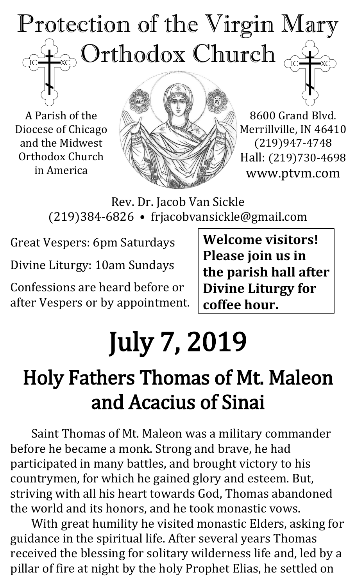# Protection of the Virgin Mary  $\otimes$  Orthodox Church  $_\odot$  $\overline{C}$

A Parish of the Diocese of Chicago and the Midwest Orthodox Church in America



8600 Grand Blvd. Merrillville, IN 46410 (219)947-4748 Hall: (219)730-4698 www.ptvm.com

Rev. Dr. Jacob Van Sickle (219)384-6826 • frjacobvansickle@gmail.com

Great Vespers: 6pm Saturdays

Divine Liturgy: 10am Sundays

Confessions are heard before or after Vespers or by appointment. **Welcome visitors! Please join us in the parish hall after Divine Liturgy for coffee hour.**

# July 7, 2019

# Holy Fathers Thomas of Mt. Maleon and Acacius of Sinai

Saint Thomas of Mt. Maleon was a military commander before he became a monk. Strong and brave, he had participated in many battles, and brought victory to his countrymen, for which he gained glory and esteem. But, striving with all his heart towards God, Thomas abandoned the world and its honors, and he took monastic vows.

With great humility he visited monastic Elders, asking for guidance in the spiritual life. After several years Thomas received the blessing for solitary wilderness life and, led by a pillar of fire at night by the holy Prophet Elias, he settled on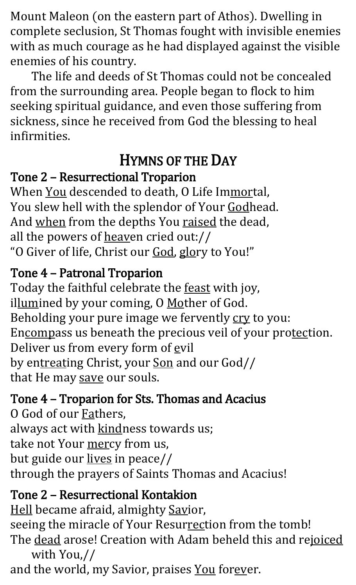Mount Maleon (on the eastern part of Athos). Dwelling in complete seclusion, St Thomas fought with invisible enemies with as much courage as he had displayed against the visible enemies of his country.

The life and deeds of St Thomas could not be concealed from the surrounding area. People began to flock to him seeking spiritual guidance, and even those suffering from sickness, since he received from God the blessing to heal infirmities.

# HYMNS OF THE DAY

### Tone 2 – Resurrectional Troparion

When You descended to death, O Life Immortal, You slew hell with the splendor of Your Godhead. And when from the depths You raised the dead, all the powers of heaven cried out:// "O Giver of life, Christ our God, glory to You!"

## Tone 4 – Patronal Troparion

Today the faithful celebrate the **feast** with joy, illumined by your coming, O Mother of God. Beholding your pure image we fervently cry to you: Encompass us beneath the precious veil of your protection. Deliver us from every form of evil by entreating Christ, your Son and our God// that He may save our souls.

### Tone 4 – Troparion for Sts. Thomas and Acacius

O God of our **Fathers**, always act with kindness towards us; take not Your mercy from us, but guide our lives in peace// through the prayers of Saints Thomas and Acacius!

# Tone 2 – Resurrectional Kontakion

Hell became afraid, almighty Savior, seeing the miracle of Your Resurrection from the tomb! The dead arose! Creation with Adam beheld this and rejoiced with You,//

and the world, my Savior, praises You forever.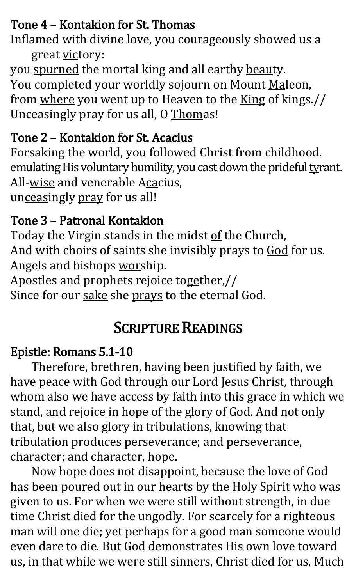# Tone 4 – Kontakion for St. Thomas

Inflamed with divine love, you courageously showed us a great victory:

you spurned the mortal king and all earthy beauty. You completed your worldly sojourn on Mount Maleon, from where you went up to Heaven to the King of kings.// Unceasingly pray for us all, O Thomas!

### Tone 2 – Kontakion for St. Acacius

Forsaking the world, you followed Christ from childhood. emulating His voluntary humility, you cast down the prideful tyrant. All-wise and venerable Acacius, unceasingly pray for us all!

### Tone 3 – Patronal Kontakion

Today the Virgin stands in the midst of the Church, And with choirs of saints she invisibly prays to God for us. Angels and bishops worship.

Apostles and prophets rejoice together,//

Since for our sake she prays to the eternal God.

# SCRIPTURE READINGS

#### Epistle: Romans 5.1-10

Therefore, brethren, having been justified by faith, we have peace with God through our Lord Jesus Christ, through whom also we have access by faith into this grace in which we stand, and rejoice in hope of the glory of God. And not only that, but we also glory in tribulations, knowing that tribulation produces perseverance; and perseverance, character; and character, hope.

Now hope does not disappoint, because the love of God has been poured out in our hearts by the Holy Spirit who was given to us. For when we were still without strength, in due time Christ died for the ungodly. For scarcely for a righteous man will one die; yet perhaps for a good man someone would even dare to die. But God demonstrates His own love toward us, in that while we were still sinners, Christ died for us. Much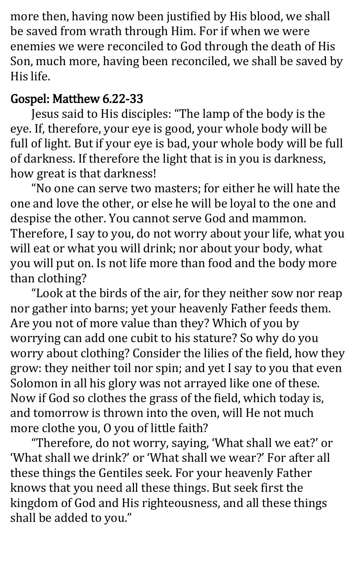more then, having now been justified by His blood, we shall be saved from wrath through Him. For if when we were enemies we were reconciled to God through the death of His Son, much more, having been reconciled, we shall be saved by His life.

#### Gospel: Matthew 6.22-33

Jesus said to His disciples: "The lamp of the body is the eye. If, therefore, your eye is good, your whole body will be full of light. But if your eye is bad, your whole body will be full of darkness. If therefore the light that is in you is darkness, how great is that darkness!

"No one can serve two masters; for either he will hate the one and love the other, or else he will be loyal to the one and despise the other. You cannot serve God and mammon. Therefore, I say to you, do not worry about your life, what you will eat or what you will drink; nor about your body, what you will put on. Is not life more than food and the body more than clothing?

"Look at the birds of the air, for they neither sow nor reap nor gather into barns; yet your heavenly Father feeds them. Are you not of more value than they? Which of you by worrying can add one cubit to his stature? So why do you worry about clothing? Consider the lilies of the field, how they grow: they neither toil nor spin; and yet I say to you that even Solomon in all his glory was not arrayed like one of these. Now if God so clothes the grass of the field, which today is, and tomorrow is thrown into the oven, will He not much more clothe you, O you of little faith?

"Therefore, do not worry, saying, 'What shall we eat?' or 'What shall we drink?' or 'What shall we wear?' For after all these things the Gentiles seek. For your heavenly Father knows that you need all these things. But seek first the kingdom of God and His righteousness, and all these things shall be added to you."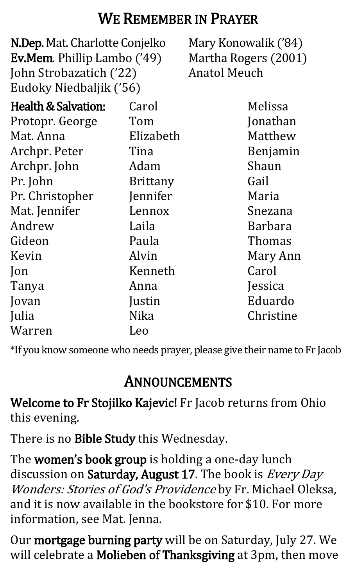# WE REMEMBER IN PRAYER

N.Dep. Mat. Charlotte Conjelko Ev.Mem. Phillip Lambo ('49) John Strobazatich ('22) Eudoky Niedbaljik ('56) Mary Konowalik ('84) Martha Rogers (2001) Anatol Meuch Health & Salvation: Protopr. George Mat. Anna Archpr. Peter Archpr. John Pr. John Pr. Christopher Mat. Jennifer Andrew Gideon Kevin Jon Tanya Jovan Julia Warren Carol Tom Elizabeth Tina Adam Brittany Jennifer Lennox Laila Paula Alvin Kenneth Anna Justin Nika Leo Melissa Jonathan Matthew Benjamin Shaun Gail Maria Snezana Barbara Thomas Mary Ann Carol Jessica Eduardo Christine

\*If you know someone who needs prayer, please give their name to Fr Jacob

# ANNOUNCEMENTS

Welcome to Fr Stojilko Kajevic! Fr Jacob returns from Ohio this evening.

There is no Bible Study this Wednesday.

The women's book group is holding a one-day lunch discussion on Saturday, August 17. The book is Every Day Wonders: Stories of God's Providence by Fr. Michael Oleksa, and it is now available in the bookstore for \$10. For more information, see Mat. Jenna.

Our mortgage burning party will be on Saturday, July 27. We will celebrate a Molieben of Thanksgiving at 3pm, then move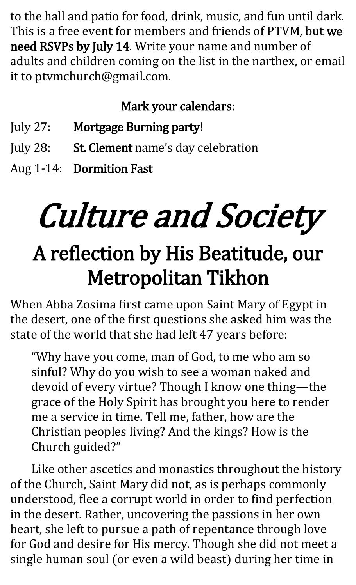to the hall and patio for food, drink, music, and fun until dark. This is a free event for members and friends of PTVM, but we need RSVPs by July 14. Write your name and number of adults and children coming on the list in the narthex, or email it to ptvmchurch@gmail.com.

# Mark your calendars:

- July 27: Mortgage Burning party!
- July 28: St. Clement name's day celebration
- Aug 1-14: Dormition Fast

# Culture and Society

# A reflection by His Beatitude, our Metropolitan Tikhon

When Abba Zosima first came upon Saint Mary of Egypt in the desert, one of the first questions she asked him was the state of the world that she had left 47 years before:

"Why have you come, man of God, to me who am so sinful? Why do you wish to see a woman naked and devoid of every virtue? Though I know one thing—the grace of the Holy Spirit has brought you here to render me a service in time. Tell me, father, how are the Christian peoples living? And the kings? How is the Church guided?"

Like other ascetics and monastics throughout the history of the Church, Saint Mary did not, as is perhaps commonly understood, flee a corrupt world in order to find perfection in the desert. Rather, uncovering the passions in her own heart, she left to pursue a path of repentance through love for God and desire for His mercy. Though she did not meet a single human soul (or even a wild beast) during her time in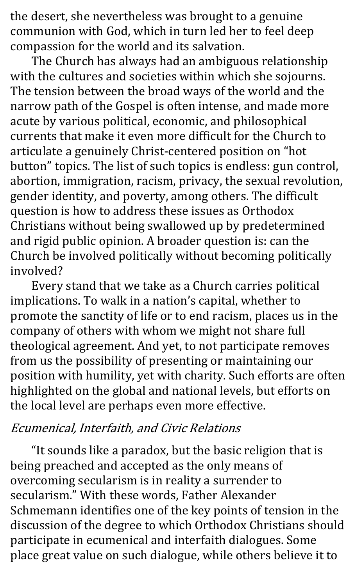the desert, she nevertheless was brought to a genuine communion with God, which in turn led her to feel deep compassion for the world and its salvation.

The Church has always had an ambiguous relationship with the cultures and societies within which she sojourns. The tension between the broad ways of the world and the narrow path of the Gospel is often intense, and made more acute by various political, economic, and philosophical currents that make it even more difficult for the Church to articulate a genuinely Christ-centered position on "hot button" topics. The list of such topics is endless: gun control, abortion, immigration, racism, privacy, the sexual revolution, gender identity, and poverty, among others. The difficult question is how to address these issues as Orthodox Christians without being swallowed up by predetermined and rigid public opinion. A broader question is: can the Church be involved politically without becoming politically involved?

Every stand that we take as a Church carries political implications. To walk in a nation's capital, whether to promote the sanctity of life or to end racism, places us in the company of others with whom we might not share full theological agreement. And yet, to not participate removes from us the possibility of presenting or maintaining our position with humility, yet with charity. Such efforts are often highlighted on the global and national levels, but efforts on the local level are perhaps even more effective.

#### Ecumenical, Interfaith, and Civic Relations

"It sounds like a paradox, but the basic religion that is being preached and accepted as the only means of overcoming secularism is in reality a surrender to secularism." With these words, Father Alexander Schmemann identifies one of the key points of tension in the discussion of the degree to which Orthodox Christians should participate in ecumenical and interfaith dialogues. Some place great value on such dialogue, while others believe it to